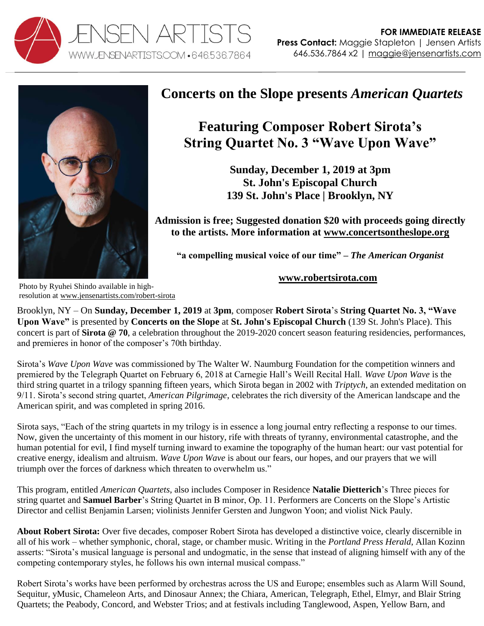



## **Concerts on the Slope presents** *American Quartets*

## **Featuring Composer Robert Sirota's String Quartet No. 3 "Wave Upon Wave"**

**Sunday, December 1, 2019 at 3pm St. John's Episcopal Church 139 St. John's Place | Brooklyn, NY**

**Admission is free; Suggested donation \$20 with proceeds going directly to the artists. More information at [www.concertsontheslope.org](http://www.concertsontheslope.org/)**

**"a compelling musical voice of our time" –** *The American Organist*

**[www.robertsirota.com](http://www.robertsirota.com/)**

Photo by Ryuhei Shindo available in highresolution at [www.jensenartists.com/robert-sirota](http://www.jensenartists.com/robert-sirota)

Brooklyn, NY – On **Sunday, December 1, 2019** at **3pm**, composer **Robert Sirota**'s **String Quartet No. 3, "Wave Upon Wave"** is presented by **Concerts on the Slope** at **St. John's Episcopal Church** (139 St. John's Place). This concert is part of **Sirota @ 70**, a celebration throughout the 2019-2020 concert season featuring residencies, performances, and premieres in honor of the composer's 70th birthday.

Sirota's *Wave Upon Wave* was commissioned by The Walter W. Naumburg Foundation for the competition winners and premiered by the Telegraph Quartet on February 6, 2018 at Carnegie Hall's Weill Recital Hall. *Wave Upon Wave* is the third string quartet in a trilogy spanning fifteen years, which Sirota began in 2002 with *Triptych*, an extended meditation on 9/11. Sirota's second string quartet, *American Pilgrimage*, celebrates the rich diversity of the American landscape and the American spirit, and was completed in spring 2016.

Sirota says, "Each of the string quartets in my trilogy is in essence a long journal entry reflecting a response to our times. Now, given the uncertainty of this moment in our history, rife with threats of tyranny, environmental catastrophe, and the human potential for evil, I find myself turning inward to examine the topography of the human heart: our vast potential for creative energy, idealism and altruism. *Wave Upon Wave* is about our fears, our hopes, and our prayers that we will triumph over the forces of darkness which threaten to overwhelm us."

This program, entitled *American Quartets*, also includes Composer in Residence **Natalie Dietterich**'s Three pieces for string quartet and **Samuel Barber**'s String Quartet in B minor, Op. 11. Performers are Concerts on the Slope's Artistic Director and cellist Benjamin Larsen; violinists Jennifer Gersten and Jungwon Yoon; and violist Nick Pauly.

**About Robert Sirota:** Over five decades, composer Robert Sirota has developed a distinctive voice, clearly discernible in all of his work – whether symphonic, choral, stage, or chamber music. Writing in the *Portland Press Herald*, Allan Kozinn asserts: "Sirota's musical language is personal and undogmatic, in the sense that instead of aligning himself with any of the competing contemporary styles, he follows his own internal musical compass."

Robert Sirota's works have been performed by orchestras across the US and Europe; ensembles such as Alarm Will Sound, Sequitur, yMusic, Chameleon Arts, and Dinosaur Annex; the Chiara, American, Telegraph, Ethel, Elmyr, and Blair String Quartets; the Peabody, Concord, and Webster Trios; and at festivals including Tanglewood, Aspen, Yellow Barn, and